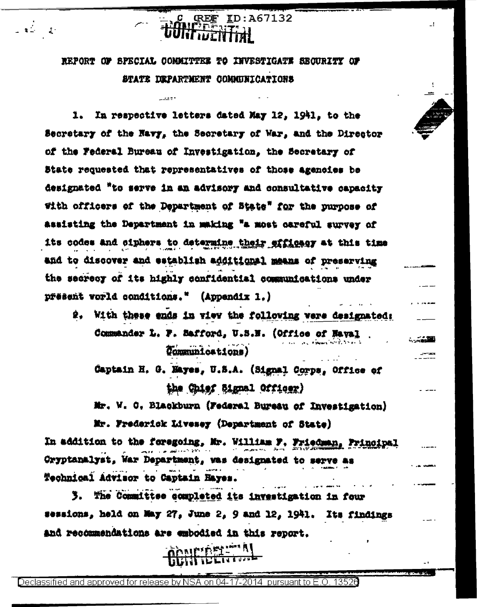REPORT OF SPECIAL COMMITTEE TO INVESTIGATE SECURITY OF STATE DEPARTMENT COMMUNICATIONS

. . . . .

**GREE** 

 $2 - 2$ 

ID:A67132

 $\mathbf{I}$ 

**STATE** 

In respective letters dated May 12, 1941, to the 1. Secretary of the Navy, the Secretary of War, and the Director of the Federal Bureau of Investigation, the Secretary of State requested that representatives of those agenoies be designated "to serve in an advisory and consultative capacity With officers of the Department of State" for the purpose of assisting the Department in making "a most careful survey of its codes and ciphers to determine their efficacy at this time and to discover and establish additional means of preserving the secrecy of its highly confidential communications under přěšent vorld conditions." (Appendix 1.)

2. With these ends in view the following were designated: Commander L. F. Safford, U.S.N. (Office of Haval Communications)

Captain H. G. Hayes, U.S.A. (Signal Corps, Office of the Chief Signal Officer)

Mr. W. C. Blackburn (Federal Bureau of Investigation)

Mr. Frederick Livesey (Department of State) In addition to the foregoing, Mr. William F. Friedman, Principal Oryptanalyst, War Department, was designated to serve as Technical Advisor to Captain Hayes.

3. The Committee completed its investigation in four sessions, held on May 27, June 2, 9 and 12, 1941. Its findings and recommendations are embodied in this report.

<u> AND ASI- A</u>

Declassified and approved for release by NSA on 04-17-2014 -pursuant to F-O-13526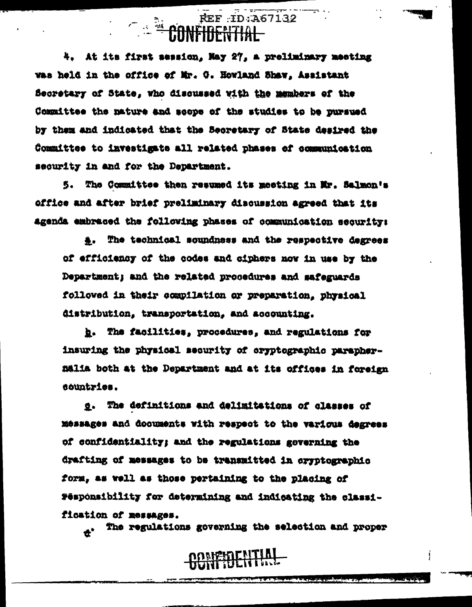# REF : ID: A67132

4. At its first session, May 27, a preliminary meeting was held in the office of Mr. G. Howland Shaw, Assistant Secretary of State, who discussed with the members of the Committee the nature and scope of the studies to be pursued by them and indicated that the Secretary of State desired the Committee to investigate all related phases of communication security in and for the Department.

5. The Committee then resumed its meeting in Mr. Salmon's office and after brief preliminary discussion agreed that its agenda embraced the following phases of communication security:

#. The technical scupdness and the respective degrees of efficiency of the codes and ciphers now in use by the Department; and the related procedures and safeguards followed in their compilation or preparation, physical distribution, transportation, and accounting.

b. The facilities, procedures, and regulations for insuring the physical security of cryptographic paraphernalia both at the Department and at its offices in foreign sountries.

g. The definitions and delimitations of classes of messages and documents with respect to the various degrees of confidentiality; and the regulations governing the drafting of messages to be transmitted in oryptographic form, as well as those pertaining to the placing of Fesponsibility for determining and indicating the classification of messages.

The regulations governing the selection and proper

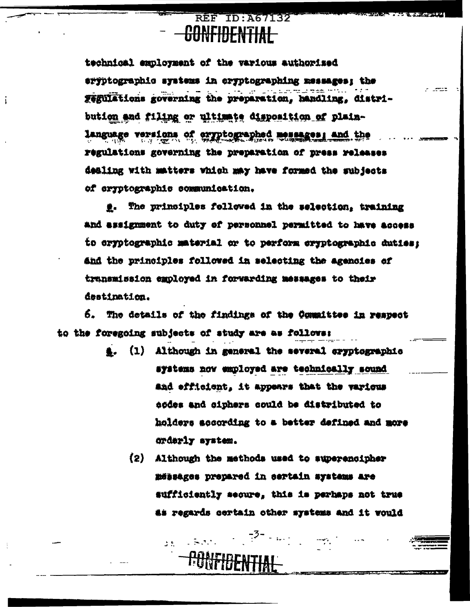#### REF ID: A67132 <del>CONFIDENTIAI</del>

i

technical employment of the various authorized eryptographic systems in oryptographing messages; the Tegulations governing the preparation, handling, distribution and filing or ultimate disposition of plainlanguage versions of exyptographed messages; and the regulations governing the preparation of press releases dealing with matters which may have formed the subjects of cryptographic communication.

 $-$ 

g. The principles followed in the selection, training and assignment to duty of personnel permitted to have access to cryptographic material or to perform cryptographic duties; and the principles followed in selecting the agencies of transmission employed in forwarding messages to their destination.

6. The details of the findings of the Committee in respect to the foregoing subjects of study are as follows:

- (1) Although in general the several eryptographic systems now employed are technically sound and efficient, it appears that the various eodes and ciphers could be distributed to holders according to a better defined and more orderly system.
	- $(2)$ Although the methods used to superencipher määsäges prepared in eertain systems are sufficiently secure, this is perhaps not true as regards certain other systems and it would

. –3- <sub>п. н. н.</sub> н. е.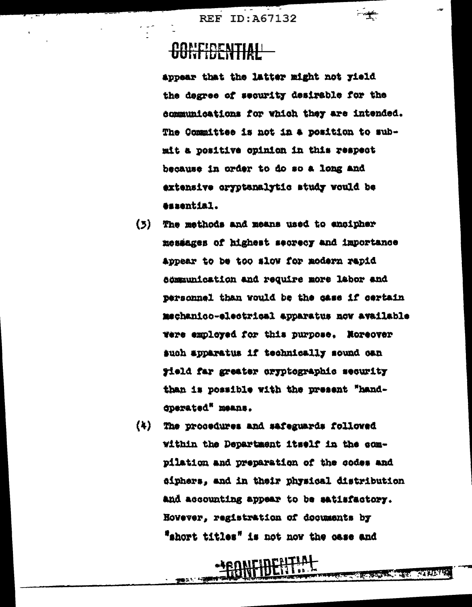#### **AANFIDENTIAL**

appear that the latter might not yield the degree of security desirable for the communications for which they are intended. The Committee is not in a position to submit a positive opinion in this respect because in order to do so a long and extensive cryptanalytic study would be essential.

่≁

**ATALYS** 

337

- $(5)$ The methods and means used to encipher messages of highest secrecy and importance appear to be too slow for modern rapid semmunication and require more labor and personnel than would be the case if certain mechanico-electrical apparatus now available were employed for this purpose. Noreover such apparatus if technically sound can gield far greater oryptographic security than is possible with the present "handcperated" means.
- $(4)$ The procedures and safeguards followed within the Department itself in the compilation and preparation of the codes and diphers, and in their physical distribution and accounting appear to be satisfactory. Hovever, registration of documents by "short titles" is not noy the case and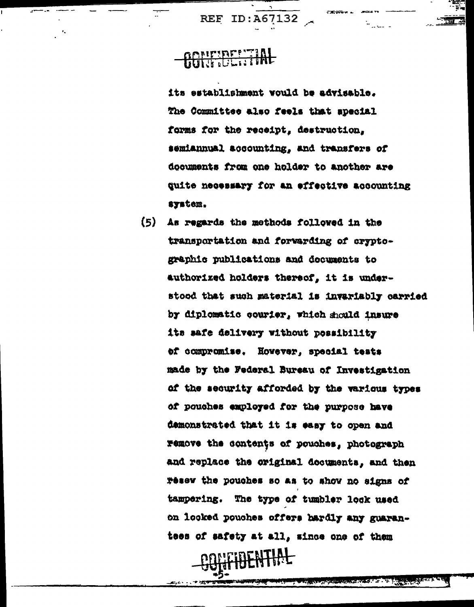#### **AGNETOE STAL**

its establishment would be advisable. The Committee also feels that special forms for the receipt, destruction, semiannual accounting, and transfers of documents from one holder to another are quite necessary for an effective accounting system.

 $(5)$ As regards the methods followed in the transportation and forwarding of cryptographic publications and documents to authorized holders thereof, it is understood that such material is invariably carried by diplomatic courier, which should insure its safe delivery without possibility of compromise. Hovever, special tests made by the Federal Bureau of Investigation of the security afforded by the various types of pouches employed for the purpose have demonstrated that it is easy to open and remove the contents of pouches, photograph and replace the original decuments, and then resew the pouches so as to show no signs of tampering. The type of tumbler lock used on looked pouches offers hardly any guarantees of safety at all, since one of them

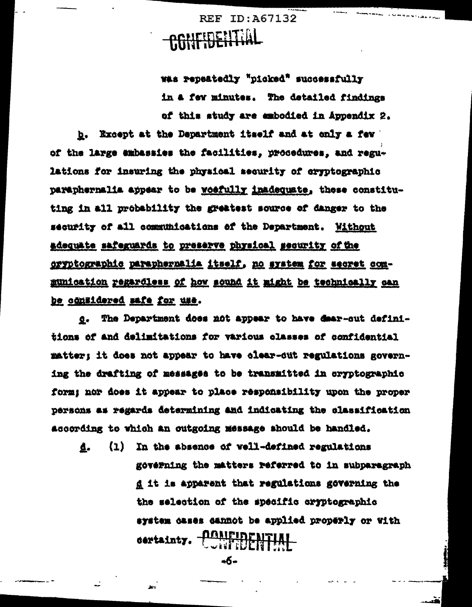**REF ID: A67132** CONFIDENTIAL

was repeatedly "picked" successfully in a few minutes. The detailed findings of this study are embodied in Appendix 2.

Except at the Department itself and at only a few b. of the large embassies the facilities, procedures, and regulations for insuring the physical security of cryptographic paraphernalia appear to be woefully inadequate, these constituting in all probability the greatest source of danger to the security of all communications of the Department. Without adequate safeguards to preserve physical security of the oryptographic paraphernalia itself, no system for secret communication regardless of how sound it might be technically can be considered mafe for use.

 $\Omega$  . The Department does not appear to have dear-out definitions of and delimitations for various classes of confidential matter; it does not appear to have clear-out regulations governing the drafting of messages to be transmitted in eryptographic form: nor does it appear to place responsibility upon the proper persons as regards determining and indicating the classification according to which an outgoing message should be handled.

(1) In the absence of vell-defined regulations ₫. governing the matters referred to in subparagraph d it is apparent that regulations governing the the selection of the specific cryptographic system cases cannot be applied properly or with dertainty. <u>Conificent HAI</u>

-6-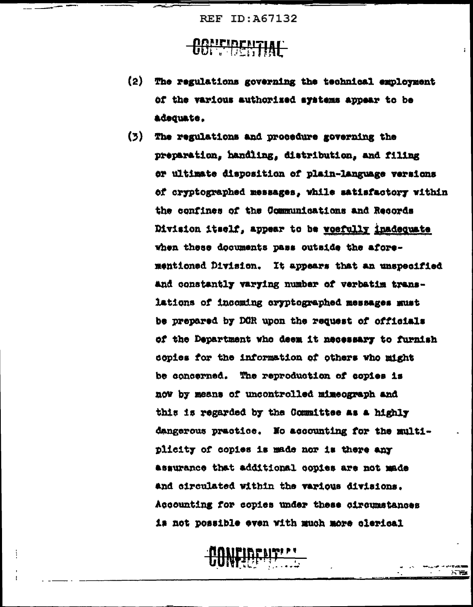#### **CONFIDENTIAL**

 $(2)$ The regulations governing the technical employment of the various authorized systems appear to be adequate.

ĩ.

阿耨

(3) The regulations and procedure governing the preparation, handling, distribution, and filing or ultimate disposition of plain-language versions of cryptographed messages, while satisfactory within the confines of the Communications and Records Division itself, appear to be woefully inadequate when these documents pass outside the aforementioned Division. It appears that an unspecified and constantly varying number of verbatim translations of incoming cryptographed messages must be prepared by DOR upon the request of officials of the Department who deem it necessary to furnish copies for the information of others who might be concerned. The reproduction of copies is now by means of uncontrolled mimeograph and this is regarded by the Committee as a highly dangerous practice. No accounting for the multiplicity of copies is made nor is there any assurance that additional copies are not made and circulated within the various divisions. Accounting for copies under these circumstances is not possible even with much more clerical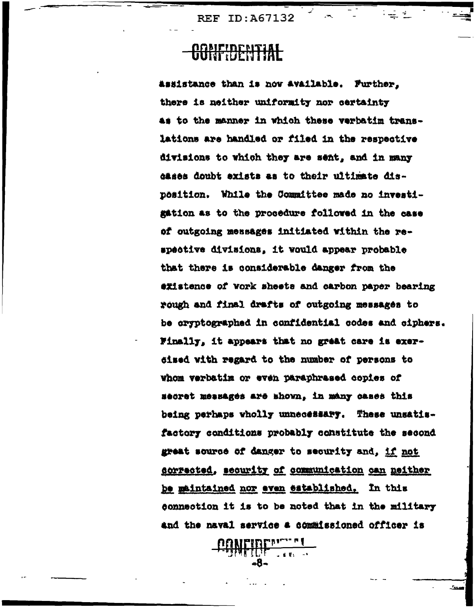#### <del>RANEIDENTIAL</del>

Assistance than is now available. Further, there is neither uniformity nor certainty as to the manner in which these verbatim translations are handled or filed in the respective divisions to which they are sent, and in many dases doubt exists as to their ultimate disposition. While the Committee made no investigation as to the procedure followed in the case of outgoing messages initiated within the respective divisions, it would appear probable that there is considerable danger from the existence of vork sheets and carbon paper bearing rough and final drafts of outgoing messages to be cryptographed in confidential codes and ciphers. Finally, it appears that no great care is exersised with regard to the number of persons to Whom verbatim or even paraphrased copies of secret messages are shown, in many cases this being perhaps wholly unnecessary. These unsatisfactory conditions probably constitute the second great source of danger to security and, if not corrected, scourity of communication can neither be maintained nor even established. In this connection it is to be noted that in the military and the naval service a commissioned officer is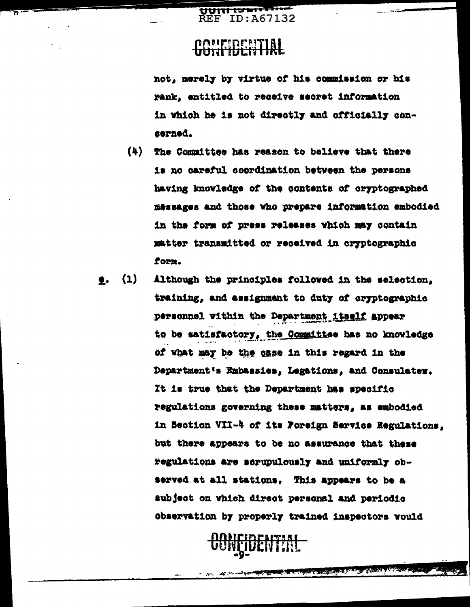<del>ਗਰਜਾਜ</del>  $REF$  TD:  $\Delta$ 67132

#### **AQUEIDENTIAL**

not, merely by virtue of his commission or his rank, entitled to receive secret information in which he is not directly and officially concerned.

- $(4)$ The Committee has reason to believe that there is no careful coordination between the persons having knowledge of the contents of cryptographed messages and those who prepare information embodied in the form of press releases which may contain matter transmitted or received in cryptographic form.
- $(1)$ Although the principles followed in the selection. ●. training, and assignment to duty of oryptographic personnel within the Department itself appear to be satisfactory, the Committee has no knowledge of what may be the case in this regard in the Department's Embassies, Legations, and Consulater. It is true that the Department has specific regulations governing these matters, as embodied in Section VII-4 of its Foreign Service Regulations. but there appears to be no assurance that these regulations are scrupulously and uniformly observed at all stations. This appears to be a subject on which direct personal and periodic Observation by properly trained inspectors would



**CONTRACTOR** 

والتطليل ستندر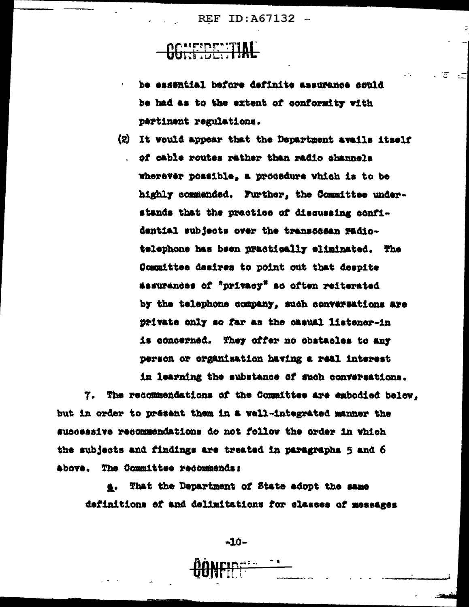REF ID:A67132 -

#### OCALEPENTIAL

be exsential before definite assurance could be had as to the extent of conformity with pertinent regulations.

L.

i i En

(2) It would appear that the Department avails itself . of cable routes rather than radio channels wherever possible, a procedure which is to be highly commended. Further, the Committee understands that the practice of discussing confidential subjects over the transcosan radiotelephone has been practically eliminated. The Committee desires to point out that despite assurances of "privacy" so often reiterated by the telephone company, such conversations are private only so far as the casual listener-in is concerned. They offer no obstacles to any person or organization having a real interest in learning the substance of such conversations.

7. The recommendations of the Committee are embodied below. but in order to present them in a vell-integrated manner the successive recommendations do not follow the order in which the subjects and findings are treated in paragraphs 5 and 6 above. The Committee recommends:

That the Department of State adopt the same 急. definitions of and delimitations for classes of messages

 $-10-$ 

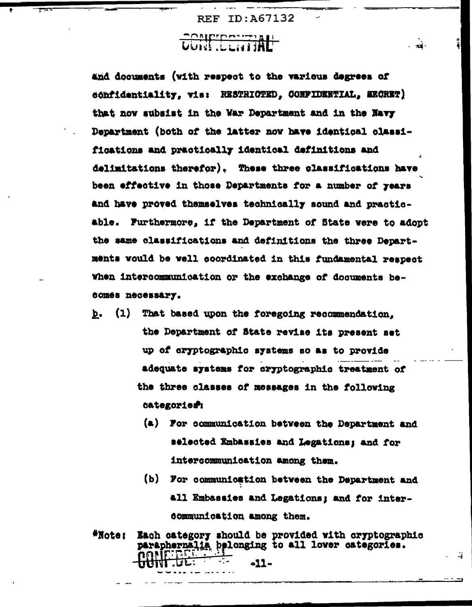$-12$ 

-41

### Controminal

and documents (with respect to the various degrees of confidentiality, vis: RESTRICTED, CONFIDENTIAL, SECRET) that now subsist in the War Department and in the Navy Department (both of the latter now have identical classifications and practically identical definitions and delimitations therefor). These three classifications have been effective in those Departments for a number of years and have proved themselves technically sound and practicable. Furthermore, if the Department of State were to adopt the same classifications and definitions the three Departments vould be well coordinated in this fundamental respect when intercommunication or the exchange of documents becomes necessary.

- $(1)$ That based upon the foregoing recommendation. Þ. the Department of State revise its present set up of cryptographic systems so as to provide adequate systems for cryptographic treatment of the three classes of messages in the following categories:
	- (a) For communication between the Department and selected Embassies and Legations; and for intercommunication among them.
	- (b) For communication between the Department and all Embassies and Legations; and for intercommunication among them.
- \*Note: Each category should be provided with cryptographic paraphernalia pelonging to all lover categories. -11-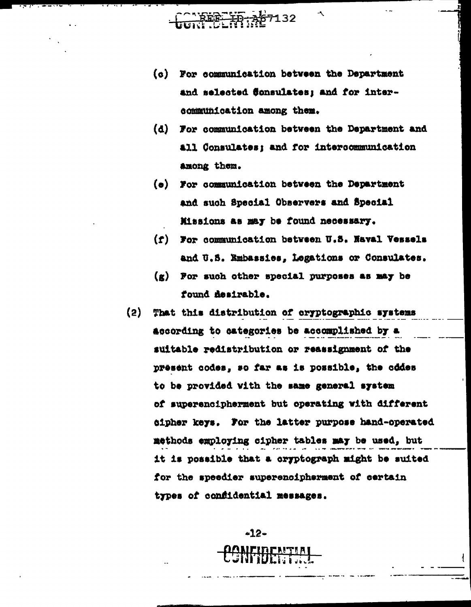- EEE ID A67132
- (c) For communication between the Department and selected Sonsulates; and for intercommunication among them.
- (d) For communication between the Department and all Consulates; and for intercommunication among them.
- (e) For communication between the Department and such Special Observers and Special Missions as may be found necessary.
- (f) For communication between U.S. Naval Vessels and U.S. Embassies, Legations or Consulates.
- $(g)$  For such other special purposes as may be found mesirable.
- $(2)$ That this distribution of cryptographic systems according to categories be accomplished by a suitable redistribution or reassignment of the present codes, so far as is possible, the codes to be provided with the same general system of superencipherment but operating with different sipher keys. For the latter purpose hand-operated methods employing cipher tables may be used, but it is possible that a cryptograph might be suited for the speedier superencipherment of certain types of confidential messages.

 $-12-$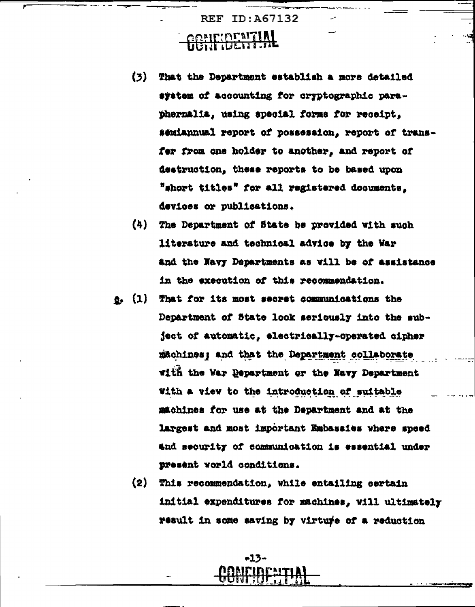#### REF ID:A67132 **GGEIFIDENTIAL**

- $(3)$ That the Department establish a more detailed system of accounting for cryptographic paraphermalia, using special forms for receipt. semiannual report of possession, report of transfer from one holder to another, and report of destruction, these reports to be based upon "short titles" for all registered documents, devices or publications.
- (4) The Department of State be provided with such literature and technical advice by the War and the Navy Departments as will be of assistance in the execution of this recommendation.
- $e.$  (1) That for its most secret communications the Department of State look seriously into the subject of automatic, electrically-operated cipher machines; and that the Department collaborate with the War Department or the Navy Department with a view to the introduction of suitable machines for use at the Department and at the largest and most important Embassies where speed and security of communication is essential under present world conditions.
	- $(2)$ This recommendation, while entailing certain initial expenditures for machines, will ultimately result in some saving by virture of a reduction

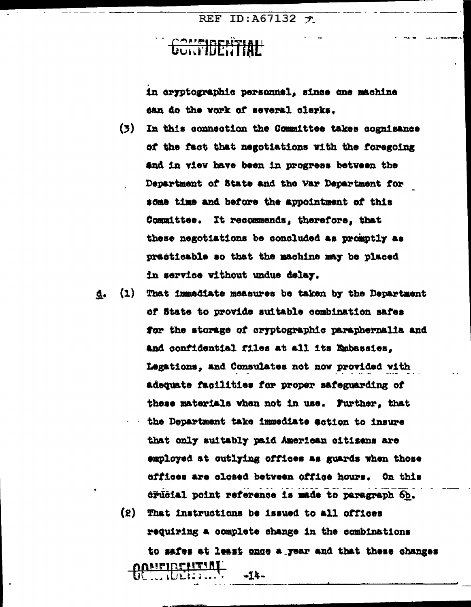REF ID: A67132  $\tau$ 

### **CONFIDENTIAL**

in cryptographic personnel, since one machine can do the vork of several clerks.

- $(3)$ In this connection the Committee takes cognisance of the fact that negotiations with the foregoing and in view have been in progress between the Department of State and the War Department for some time and before the appointment of this Committee. It recommends, therefore, that these negotiations be concluded as promptly as practicable so that the machine may be placed in service without undue delay.
- (1) That immediate measures be taken by the Department đ. of State to provide suitable combination safes for the storage of cryptographic paraphernalia and and confidential files at all its Embassies, Legations, and Consulates not now provided with adequate facilities for proper safeguarding of these materials when not in use. Further, that the Department take immediate action to insure that only suitably paid American citizens are employed at outlying offices as guards when those offices are closed between office hours. On this erueial point reference is made to paragraph 6h.

 $(2)$ That instructions be issued to all offices requiring a complete change in the combinations

to safes at least once a year and that these changes <u>NEIBENTIN</u><br>... (DEN : : ... -14-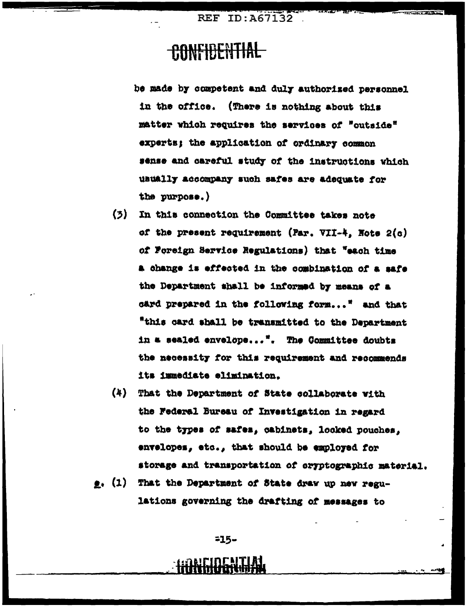#### **CONFIDENTIAL**

be made by competent and duly authorized personnel in the office. (There is nothing about this matter which requires the services of "outside" experts; the application of ordinary common sense and careful study of the instructions which usually accompany such safes are adequate for the purpose.)

- (3) In this connection the Committee takes note of the present requirement (Par. VII-4, Note  $2(a)$ of Foreign Service Regulations) that "each time a change is effected in the combination of a safe the Department shall be informed by means of a card prepared in the following form..." and that "this card shall be transmitted to the Department in a sealed envelope...". The Committee doubts the necessity for this requirement and recommends its immediate elimination.
- (4) That the Department of State collaborate with the Federal Bureau of Investigation in regard to the types of safes, cabinets, looked pouches, envelopes, etc., that should be employed for storage and transportation of cryptographic material.
- e. (1) That the Department of State draw up new regulations governing the drafting of messages to

 $-15-$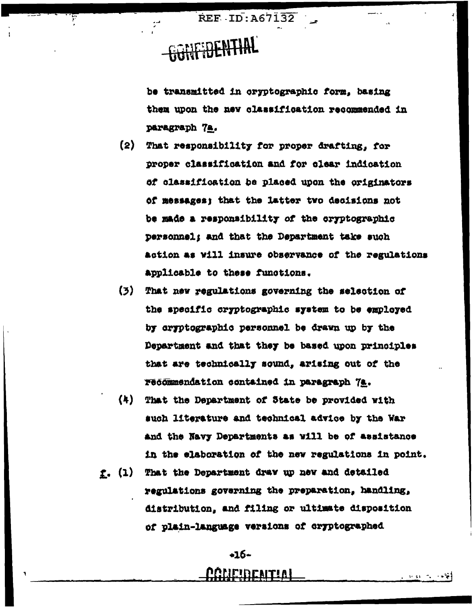REF ID: A67132

# **SONE DENTIAL**

be transmitted in oryptographic form, basing them upon the new classification recommended in paragraph 7a.

- (2) That responsibility for proper drafting, for proper classification and for clear indication of classification be placed upon the originators of messages; that the latter two decisions not be made a responsibility of the cryptographic personnel: and that the Department take such action as will insure observance of the regulations applicable to these functions.
- (3) That new regulations governing the selection of the specific cryptographic system to be employed by cryptographic personnel be drawn up by the Department and that they be based upon principles that are technically sound, arising out of the recommendation contained in paragraph 7a.
- $(4)$ That the Department of State be provided with such literature and technical advice by the War and the Navy Departments as will be of assistance in the elaboration of the new regulations in point.
- f. (1) That the Department draw up new and detailed regulations governing the preparation, handling, distribution, and filing or ultimate disposition of plain-language versions of cryptographed

 $+16-$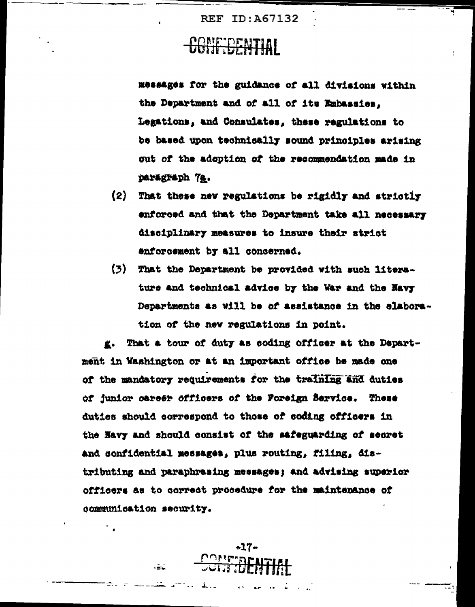### CONFIDENTIAL

Messages for the guidance of all divisions within the Department and of all of its Embassies, Legations, and Consulates, these regulations to be based upon technically sound principles arising out of the adoption of the recommendation made in paragraph 7a.

- $(2)$ That these new regulations be rigidly and strictly enforced and that the Department take all necessary disciplinary measures to insure their strict enforcement by all concerned.
- $(3)$ That the Department be provided with such literature and technical advice by the War and the Navy Departments as will be of assistance in the elaboration of the new regulations in point.

That a tour of duty as coding officer at the Depart-**K.** ment in Washington or at an important office be made one of the mandatory requirements for the training and duties of junior career officers of the Foreign Service. These duties should correspond to those of coding officers in the Navy and should consist of the safeguarding of secret and confidential messages, plus routing, filing, distributing and paraphrasing messages; and advising superior officers as to correct procedure for the maintenance of communication security.

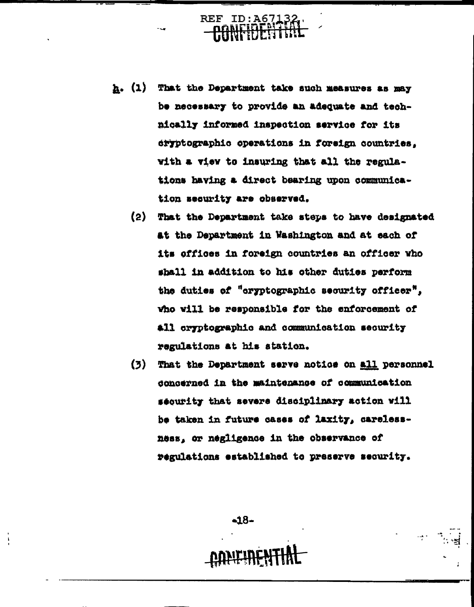h. (1) That the Department take such measures as may be necessary to provide an adequate and technically informed inspection service for its dryptographic operations in foreign countries. with a view to insuring that all the regulations having a direct bearing upon communication security are observed.

REF

- $(2)$ That the Department take steps to have designated at the Department in Washington and at each of its offices in foreign countries an officer who shall in addition to his other duties perform the duties of "cryptographic security officer". vho will be responsible for the enforcement of all oryptographic and communication security regulations at his atation.
- $(3)$ That the Department serve notice on all personnel concerned in the maintenance of communication sequrity that severe disciplinary action will be taken in future cases of laxity, carelessness, or negligence in the observance of regulations established to preserve security.

-18-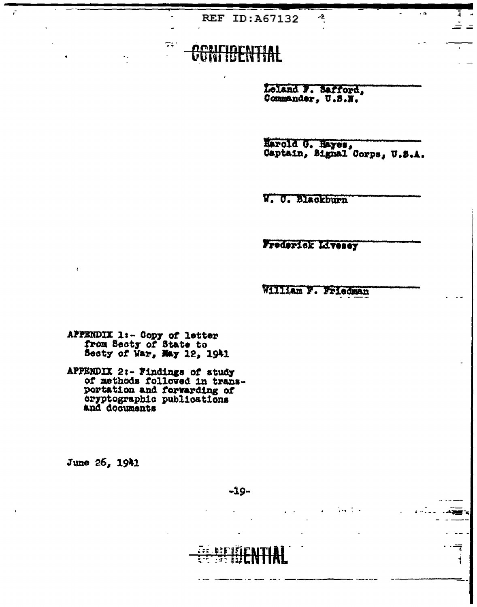#### **AENTIAL** UUNT

π.

Loland F. Safford, Commander, U.S.N.

4

Harold G. Hayes, U.S.A. Captain, Signal Corps, U.S.A.

. a

W. O. Blackburn

Frederick Livesey

William F. Friedman

 $\sim 1$  .

APPENDIX 1:- Copy of letter<br>from Secty of State to<br>Secty of War, May 12, 1941

APPENDIX 2:- Findings of study<br>of methods followed in transportation and forwarding of cryptographic publications

June 26, 1941

 $\cdots$  and - 25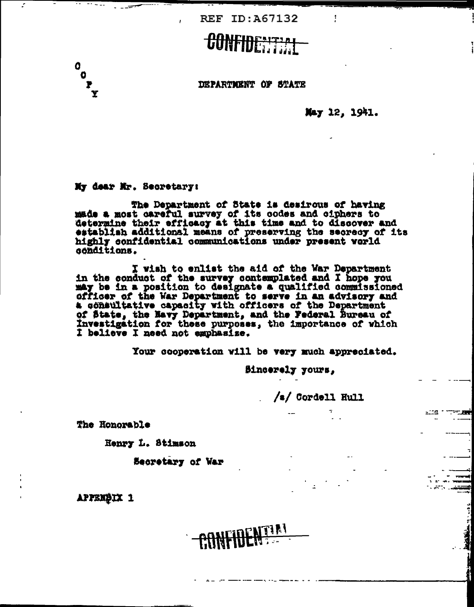## CONFIDENTIAL

DEPARTMENT OF STATE

May 12, 1941.

My dear Mr. Secretary:

 $\begin{matrix}0\\0\\0\\0\\0\end{matrix}$ 

t,

The Department of State is desirous of having made a most careful survey of its codes and ciphers to determine their efficacy at this time and to discover and establish additional means of preserving the secrecy of its highly confidential communications under present world conditions.

I wish to enlist the aid of the War Department<br>in the conduct of the survey contemplated and I hope you<br>may be in a position to designate a qualified commissioned<br>officer of the War Department to serve in an advisory and<br>a of State, the Navy Department, and the Federal Bureau of Investigation for these purposes, the importance of which I believe I need not emphasize.

**CONFIDENTIAL** 

Your cooperation will be very much appreciated.

Bincerely yours,

/s/ Cordell Hull

 $\sim 100$ 

The Honorable

Henry L. Stimson

Secretary of War

APPENDIX 1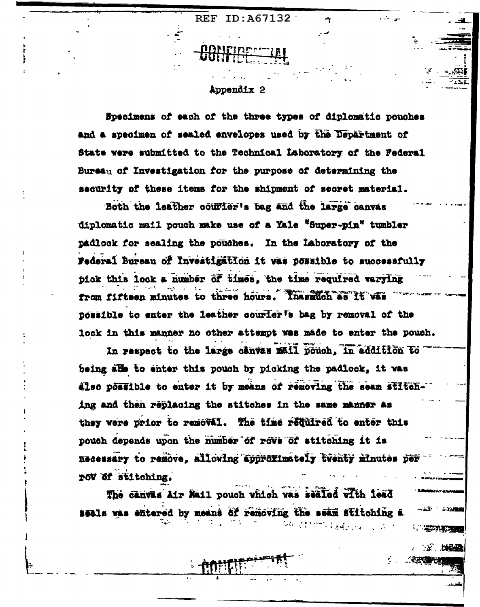Appendix 2

Specimens of each of the three types of diplomatic pouches and a specimen of sealed envelopes used by the Department of State were submitted to the Technical Laboratory of the Federal Bureau of Investigation for the purpose of determining the security of these items for the shipment of secret material.

Both the leather courier's bag and the large canvas diplomatic mail pouch make use of a Yale "Super-pin" tumbler padlock for sealing the pouches. In the Laboratory of the Federal Bureau of Investigation it was possible to successfully pick this lock a number of times, the time required varying to three hours. Inashuch as it vas from fifteen minutes possible to enter the leather courler's bag by removal of the lock in this manner no other attempt was made to enter the pouch.

In respect to the large canvas mail pouch, in addition to being alle to enter this pouch by picking the padlock, it was also possible to enter it by means of removing the seam stitching and then replacing the stitches in the same manner as they were prior to removal. The time required to enter this pouch depends upon the number of rova of stitching it is Recessary to remove, allowing approximately twenty minutes per row of stitching.

网络阿蒙克劳劳氏菌属植物 医乳

11 JANEA

**THE REAL PROPERTY OF PERSONAL PROPERTY** 

2. 2. 经经理

**SECTION** 

The canvas Air Mail pouch which was sealed with lead seals was entered by means of removing the seam stitching a